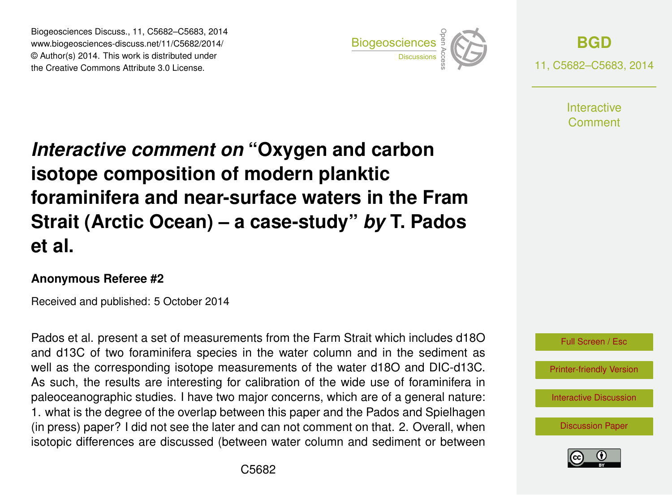Biogeosciences Discuss., 11, C5682–C5683, 2014 www.biogeosciences-discuss.net/11/C5682/2014/ © Author(s) 2014. This work is distributed under Biogeosciences Discuss., 11, C5682–C5683, 2014<br>www.biogeosciences-discuss.net/11/C5682/2014/<br>© Author(s) 2014. This work is distributed under<br>the Creative Commons Attribute 3.0 License.



**[BGD](http://www.biogeosciences-discuss.net)** 11, C5682–C5683, 2014

> **Interactive** Comment

## *Interactive comment on* **"Oxygen and carbon isotope composition of modern planktic foraminifera and near-surface waters in the Fram Strait (Arctic Ocean) – a case-study"** *by* **T. Pados et al.**

## **Anonymous Referee #2**

Received and published: 5 October 2014

Pados et al. present a set of measurements from the Farm Strait which includes d18O and d13C of two foraminifera species in the water column and in the sediment as well as the corresponding isotope measurements of the water d18O and DIC-d13C. As such, the results are interesting for calibration of the wide use of foraminifera in paleoceanographic studies. I have two major concerns, which are of a general nature: 1. what is the degree of the overlap between this paper and the Pados and Spielhagen (in press) paper? I did not see the later and can not comment on that. 2. Overall, when isotopic differences are discussed (between water column and sediment or between